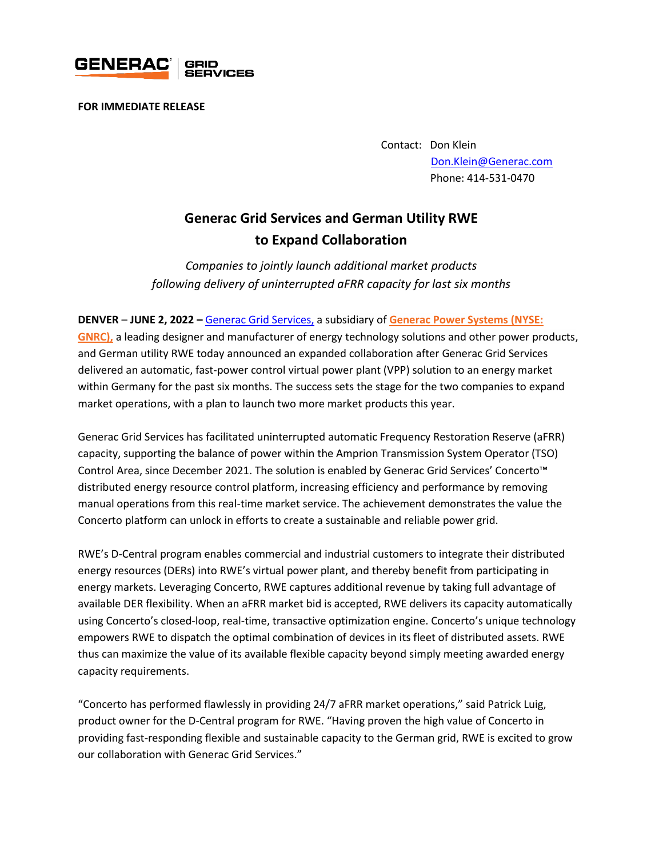

**FOR IMMEDIATE RELEASE** 

Contact: Don Klein [Don.Klein@Generac.com](mailto:Don.Klein@Generac.com) Phone: 414-531-0470

## **Generac Grid Services and German Utility RWE to Expand Collaboration**

*Companies to jointly launch additional market products following delivery of uninterrupted aFRR capacity for last six months*

**DENVER** – **JUNE 2, 2022 –** [Generac Grid Services,](https://www.enbala.com/) a subsidiary of **[Generac Power Systems \(NYSE:](http://www.generac.com/)** 

**[GNRC\),](http://www.generac.com/)** a leading designer and manufacturer of energy technology solutions and other power products, and German utility RWE today announced an expanded collaboration after Generac Grid Services delivered an automatic, fast-power control virtual power plant (VPP) solution to an energy market within Germany for the past six months. The success sets the stage for the two companies to expand market operations, with a plan to launch two more market products this year.

Generac Grid Services has facilitated uninterrupted automatic Frequency Restoration Reserve (aFRR) capacity, supporting the balance of power within the Amprion Transmission System Operator (TSO) Control Area, since December 2021. The solution is enabled by Generac Grid Services' Concerto™ distributed energy resource control platform, increasing efficiency and performance by removing manual operations from this real-time market service. The achievement demonstrates the value the Concerto platform can unlock in efforts to create a sustainable and reliable power grid.

RWE's D-Central program enables commercial and industrial customers to integrate their distributed energy resources (DERs) into RWE's virtual power plant, and thereby benefit from participating in energy markets. Leveraging Concerto, RWE captures additional revenue by taking full advantage of available DER flexibility. When an aFRR market bid is accepted, RWE delivers its capacity automatically using Concerto's closed-loop, real-time, transactive optimization engine. Concerto's unique technology empowers RWE to dispatch the optimal combination of devices in its fleet of distributed assets. RWE thus can maximize the value of its available flexible capacity beyond simply meeting awarded energy capacity requirements.

"Concerto has performed flawlessly in providing 24/7 aFRR market operations," said Patrick Luig, product owner for the D-Central program for RWE. "Having proven the high value of Concerto in providing fast-responding flexible and sustainable capacity to the German grid, RWE is excited to grow our collaboration with Generac Grid Services."